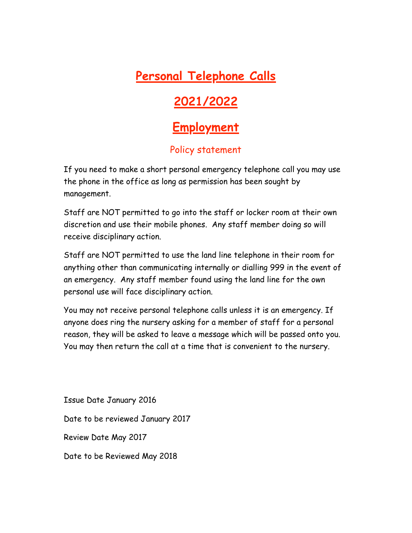**Personal Telephone Calls** 

## **2021/2022**

## **Employment**

## Policy statement

If you need to make a short personal emergency telephone call you may use the phone in the office as long as permission has been sought by management.

Staff are NOT permitted to go into the staff or locker room at their own discretion and use their mobile phones. Any staff member doing so will receive disciplinary action.

Staff are NOT permitted to use the land line telephone in their room for anything other than communicating internally or dialling 999 in the event of an emergency. Any staff member found using the land line for the own personal use will face disciplinary action.

You may not receive personal telephone calls unless it is an emergency. If anyone does ring the nursery asking for a member of staff for a personal reason, they will be asked to leave a message which will be passed onto you. You may then return the call at a time that is convenient to the nursery.

Issue Date January 2016 Date to be reviewed January 2017 Review Date May 2017 Date to be Reviewed May 2018